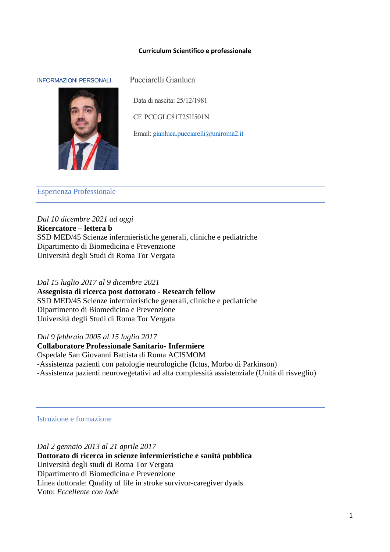#### **Curriculum Scientifico e professionale**

#### INFORMAZIONI PERSONALI Pucciarelli Gianluca



Data di nascita: 25/12/1981

CF. PCCGLC81T25H501N

Email[: gianluca.pucciarelli@uniroma2.it](mailto:gianluca.pucciarelli@uniroma2.it)

#### Esperienza Professionale

*Dal 10 dicembre 2021 ad oggi* **Ricercatore – lettera b** SSD MED/45 Scienze infermieristiche generali, cliniche e pediatriche Dipartimento di Biomedicina e Prevenzione Università degli Studi di Roma Tor Vergata

## *Dal 15 luglio 2017 al 9 dicembre 2021* **Assegnista di ricerca post dottorato - Research fellow** SSD MED/45 Scienze infermieristiche generali, cliniche e pediatriche

Dipartimento di Biomedicina e Prevenzione Università degli Studi di Roma Tor Vergata

## *Dal 9 febbraio 2005 al 15 luglio 2017*

**Collaboratore Professionale Sanitario- Infermiere** Ospedale San Giovanni Battista di Roma ACISMOM -Assistenza pazienti con patologie neurologiche (Ictus, Morbo di Parkinson) -Assistenza pazienti neurovegetativi ad alta complessità assistenziale (Unità di risveglio)

# Istruzione e formazione

*Dal 2 gennaio 2013 al 21 aprile 2017* **Dottorato di ricerca in scienze infermieristiche e sanità pubblica** Università degli studi di Roma Tor Vergata Dipartimento di Biomedicina e Prevenzione Linea dottorale: Quality of life in stroke survivor-caregiver dyads. Voto: *Eccellente con lode*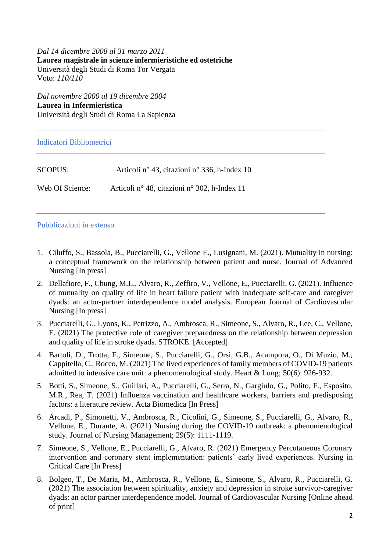*Dal 14 dicembre 2008 al 31 marzo 2011* **Laurea magistrale in scienze infermieristiche ed ostetriche** Università degli Studi di Roma Tor Vergata Voto: *110/110*

*Dal novembre 2000 al 19 dicembre 2004* **Laurea in Infermieristica** Università degli Studi di Roma La Sapienza

Indicatori Bibliometrici

| SCOPUS:         | Articoli nº 43, citazioni nº 336, h-Index 10 |
|-----------------|----------------------------------------------|
| Web Of Science: | Articoli nº 48, citazioni nº 302, h-Index 11 |

Pubblicazioni in extenso

- 1. Ciluffo, S., Bassola, B., Pucciarelli, G., Vellone E., Lusignani, M. (2021). Mutuality in nursing: a conceptual framework on the relationship between patient and nurse. Journal of Advanced Nursing [In press]
- 2. Dellafiore, F., Chung, M.L., Alvaro, R., Zeffiro, V., Vellone, E., Pucciarelli, G. (2021). Influence of mutuality on quality of life in heart failure patient with inadequate self-care and caregiver dyads: an actor-partner interdependence model analysis. European Journal of Cardiovascular Nursing [In press]
- 3. Pucciarelli, G., Lyons, K., Petrizzo, A., Ambrosca, R., Simeone, S., Alvaro, R., Lee, C., Vellone, E. (2021) The protective role of caregiver preparedness on the relationship between depression and quality of life in stroke dyads. STROKE. [Accepted]
- 4. Bartoli, D., Trotta, F., Simeone, S., Pucciarelli, G., Orsi, G.B., Acampora, O., Di Muzio, M., Cappitella, C., Rocco, M. (2021) The lived experiences of family members of COVID-19 patients admitted to intensive care unit: a phenomenological study. Heart & Lung; 50(6): 926-932.
- 5. Botti, S., Simeone, S., Guillari, A., Pucciarelli, G., Serra, N., Gargiulo, G., Polito, F., Esposito, M.R., Rea, T. (2021) Influenza vaccination and healthcare workers, barriers and predisposing factors: a literature review. Acta Biomedica [In Press]
- 6. Arcadi, P., Simonetti, V., Ambrosca, R., Cicolini, G., Simeone, S., Pucciarelli, G., Alvaro, R., Vellone, E., Durante, A. (2021) Nursing during the COVID-19 outbreak: a phenomenological study. Journal of Nursing Management; 29(5): 1111-1119.
- 7. Simeone, S., Vellone, E., Pucciarelli, G., Alvaro, R. (2021) Emergency Percutaneous Coronary intervention and coronary stent implementation: patients' early lived experiences. Nursing in Critical Care [In Press]
- 8. Bolgeo, T., De Maria, M., Ambrosca, R., Vellone, E., Simeone, S., Alvaro, R., Pucciarelli, G. (2021) The association between spirituality, anxiety and depression in stroke survivor-caregiver dyads: an actor partner interdependence model. Journal of Cardiovascular Nursing [Online ahead of print]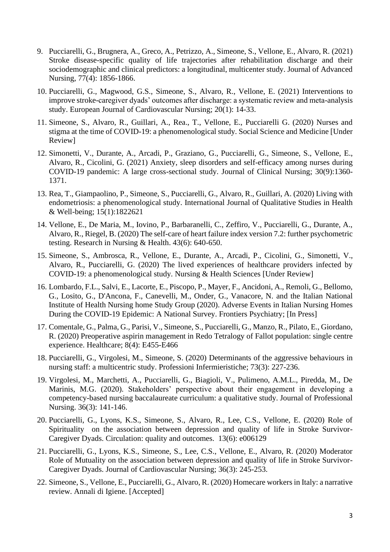- 9. Pucciarelli, G., Brugnera, A., Greco, A., Petrizzo, A., Simeone, S., Vellone, E., Alvaro, R. (2021) Stroke disease-specific quality of life trajectories after rehabilitation discharge and their sociodemographic and clinical predictors: a longitudinal, multicenter study. Journal of Advanced Nursing, 77(4): 1856-1866.
- 10. Pucciarelli, G., Magwood, G.S., Simeone, S., Alvaro, R., Vellone, E. (2021) Interventions to improve stroke-caregiver dyads' outcomes after discharge: a systematic review and meta-analysis study. European Journal of Cardiovascular Nursing; 20(1): 14-33.
- 11. Simeone, S., Alvaro, R., Guillari, A., Rea., T., Vellone, E., Pucciarelli G. (2020) Nurses and stigma at the time of COVID-19: a phenomenological study. Social Science and Medicine [Under Review]
- 12. Simonetti, V., Durante, A., Arcadi, P., Graziano, G., Pucciarelli, G., Simeone, S., Vellone, E., Alvaro, R., Cicolini, G. (2021) Anxiety, sleep disorders and self-efficacy among nurses during COVID-19 pandemic: A large cross-sectional study. Journal of Clinical Nursing; 30(9):1360- 1371.
- 13. Rea, T., Giampaolino, P., Simeone, S., Pucciarelli, G., Alvaro, R., Guillari, A. (2020) Living with endometriosis: a phenomenological study. International Journal of Qualitative Studies in Health & Well-being; 15(1):1822621
- 14. Vellone, E., De Maria, M., Iovino, P., Barbaranelli, C., Zeffiro, V., Pucciarelli, G., Durante, A., Alvaro, R., Riegel, B. (2020) The self-care of heart failure index version 7.2: further psychometric testing. Research in Nursing & Health. 43(6): 640-650.
- 15. Simeone, S., Ambrosca, R., Vellone, E., Durante, A., Arcadi, P., Cicolini, G., Simonetti, V., Alvaro, R., Pucciarelli, G. (2020) The lived experiences of healthcare providers infected by COVID-19: a phenomenological study. Nursing & Health Sciences [Under Review]
- 16. Lombardo, F.L., Salvi, E., Lacorte, E., Piscopo, P., Mayer, F., Ancidoni, A., Remoli, G., Bellomo, G., Losito, G., D'Ancona, F., Canevelli, M., Onder, G., Vanacore, N. and the Italian National Institute of Health Nursing home Study Group (2020). Adverse Events in Italian Nursing Homes During the COVID-19 Epidemic: A National Survey. Frontiers Psychiatry; [In Press]
- 17. Comentale, G., Palma, G., Parisi, V., Simeone, S., Pucciarelli, G., Manzo, R., Pilato, E., Giordano, R. (2020) Preoperative aspirin management in Redo Tetralogy of Fallot population: single centre experience. Healthcare; 8(4): E455-E466
- 18. Pucciarelli, G., Virgolesi, M., Simeone, S. (2020) Determinants of the aggressive behaviours in nursing staff: a multicentric study. Professioni Infermieristiche; 73(3): 227-236.
- 19. Virgolesi, M., Marchetti, A., Pucciarelli, G., Biagioli, V., Pulimeno, A.M.L., Piredda, M., De Marinis, M.G. (2020). Stakeholders' perspective about their engagement in developing a competency-based nursing baccalaureate curriculum: a qualitative study. Journal of Professional Nursing. 36(3): 141-146.
- 20. Pucciarelli, G., Lyons, K.S., Simeone, S., Alvaro, R., Lee, C.S., Vellone, E. (2020) Role of Spirituality on the association between depression and quality of life in Stroke Survivor-Caregiver Dyads. Circulation: quality and outcomes. 13(6): e006129
- 21. Pucciarelli, G., Lyons, K.S., Simeone, S., Lee, C.S., Vellone, E., Alvaro, R. (2020) Moderator Role of Mutuality on the association between depression and quality of life in Stroke Survivor-Caregiver Dyads. Journal of Cardiovascular Nursing; 36(3): 245-253.
- 22. Simeone, S., Vellone, E., Pucciarelli, G., Alvaro, R. (2020) Homecare workers in Italy: a narrative review. Annali di Igiene. [Accepted]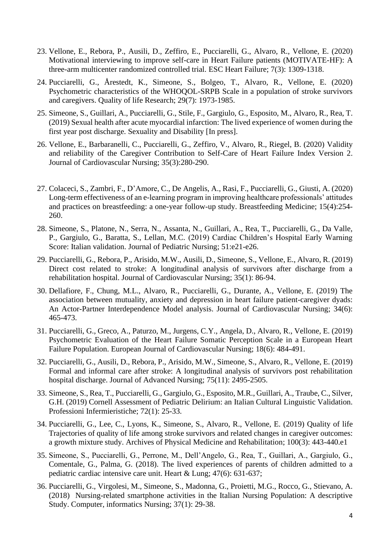- 23. Vellone, E., Rebora, P., Ausili, D., Zeffiro, E., Pucciarelli, G., Alvaro, R., Vellone, E. (2020) Motivational interviewing to improve self-care in Heart Failure patients (MOTIVATE-HF): A three-arm multicenter randomized controlled trial. ESC Heart Failure; 7(3): 1309-1318.
- 24. Pucciarelli, G., Årestedt, K., Simeone, S., Bolgeo, T., Alvaro, R., Vellone, E. (2020) Psychometric characteristics of the WHOQOL-SRPB Scale in a population of stroke survivors and caregivers. Quality of life Research; 29(7): 1973-1985.
- 25. Simeone, S., Guillari, A., Pucciarelli, G., Stile, F., Gargiulo, G., Esposito, M., Alvaro, R., Rea, T. (2019) Sexual health after acute myocardial infarction: The lived experience of women during the first year post discharge. Sexuality and Disability [In press].
- 26. Vellone, E., Barbaranelli, C., Pucciarelli, G., Zeffiro, V., Alvaro, R., Riegel, B. (2020) Validity and reliability of the Caregiver Contribution to Self-Care of Heart Failure Index Version 2. Journal of Cardiovascular Nursing; 35(3):280-290.
- 27. Colaceci, S., Zambri, F., D'Amore, C., De Angelis, A., Rasi, F., Pucciarelli, G., Giusti, A. (2020) Long-term effectiveness of an e-learning program in improving healthcare professionals' attitudes and practices on breastfeeding: a one-year follow-up study. Breastfeeding Medicine; 15(4):254- 260.
- 28. Simeone, S., Platone, N., Serra, N., Assanta, N., Guillari, A., Rea, T., Pucciarelli, G., Da Valle, P., Gargiulo, G., Baratta, S., Lellan, M.C. (2019) Cardiac Children's Hospital Early Warning Score: Italian validation. Journal of Pediatric Nursing; 51:e21-e26.
- 29. Pucciarelli, G., Rebora, P., Arisido, M.W., Ausili, D., Simeone, S., Vellone, E., Alvaro, R. (2019) Direct cost related to stroke: A longitudinal analysis of survivors after discharge from a rehabilitation hospital. Journal of Cardiovascular Nursing; 35(1): 86-94.
- 30. Dellafiore, F., Chung, M.L., Alvaro, R., Pucciarelli, G., Durante, A., Vellone, E. (2019) The association between mutuality, anxiety and depression in heart failure patient-caregiver dyads: An Actor-Partner Interdependence Model analysis. Journal of Cardiovascular Nursing; 34(6): 465-473.
- 31. Pucciarelli, G., Greco, A., Paturzo, M., Jurgens, C.Y., Angela, D., Alvaro, R., Vellone, E. (2019) Psychometric Evaluation of the Heart Failure Somatic Perception Scale in a European Heart Failure Population. European Journal of Cardiovascular Nursing; 18(6): 484-491.
- 32. Pucciarelli, G., Ausili, D., Rebora, P., Arisido, M.W., Simeone, S., Alvaro, R., Vellone, E. (2019) Formal and informal care after stroke: A longitudinal analysis of survivors post rehabilitation hospital discharge. Journal of Advanced Nursing; 75(11): 2495-2505.
- 33. Simeone, S., Rea, T., Pucciarelli, G., Gargiulo, G., Esposito, M.R., Guillari, A., Traube, C., Silver, G.H. (2019) Cornell Assessment of Pediatric Delirium: an Italian Cultural Linguistic Validation. Professioni Infermieristiche; 72(1): 25-33.
- 34. Pucciarelli, G., Lee, C., Lyons, K., Simeone, S., Alvaro, R., Vellone, E. (2019) Quality of life Trajectories of quality of life among stroke survivors and related changes in caregiver outcomes: a growth mixture study. Archives of Physical Medicine and Rehabilitation; 100(3): 443-440.e1
- 35. Simeone, S., Pucciarelli, G., Perrone, M., Dell'Angelo, G., Rea, T., Guillari, A., Gargiulo, G., Comentale, G., Palma, G. (2018). The lived experiences of parents of children admitted to a pediatric cardiac intensive care unit. Heart & Lung; 47(6): 631-637;
- 36. Pucciarelli, G., Virgolesi, M., Simeone, S., Madonna, G., Proietti, M.G., Rocco, G., Stievano, A. (2018) Nursing-related smartphone activities in the Italian Nursing Population: A descriptive Study. Computer, informatics Nursing; 37(1): 29-38.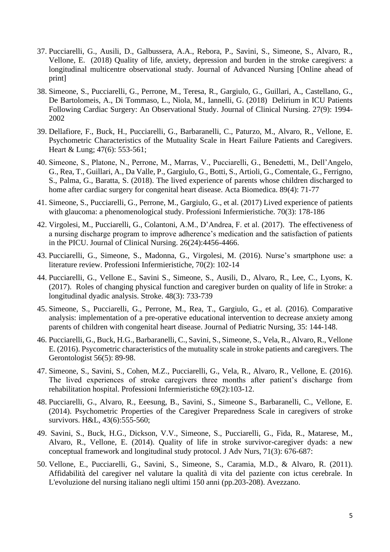- 37. Pucciarelli, G., Ausili, D., Galbussera, A.A., Rebora, P., Savini, S., Simeone, S., Alvaro, R., Vellone, E. (2018) Quality of life, anxiety, depression and burden in the stroke caregivers: a longitudinal multicentre observational study. Journal of Advanced Nursing [Online ahead of print]
- 38. Simeone, S., Pucciarelli, G., Perrone, M., Teresa, R., Gargiulo, G., Guillari, A., Castellano, G., De Bartolomeis, A., Di Tommaso, L., Niola, M., Iannelli, G. (2018) Delirium in ICU Patients Following Cardiac Surgery: An Observational Study. Journal of Clinical Nursing. 27(9): 1994- 2002
- 39. Dellafiore, F., Buck, H., Pucciarelli, G., Barbaranelli, C., Paturzo, M., Alvaro, R., Vellone, E. Psychometric Characteristics of the Mutuality Scale in Heart Failure Patients and Caregivers. Heart & Lung; 47(6): 553-561;
- 40. Simeone, S., Platone, N., Perrone, M., Marras, V., Pucciarelli, G., Benedetti, M., Dell'Angelo, G., Rea, T., Guillari, A., Da Valle, P., Gargiulo, G., Botti, S., Artioli, G., Comentale, G., Ferrigno, S., Palma, G., Baratta, S. (2018). The lived experience of parents whose children discharged to home after cardiac surgery for congenital heart disease. Acta Biomedica. 89(4): 71-77
- 41. Simeone, S., Pucciarelli, G., Perrone, M., Gargiulo, G., et al. (2017) Lived experience of patients with glaucoma: a phenomenological study. Professioni Infermieristiche. 70(3): 178-186
- 42. Virgolesi, M., Pucciarelli, G., Colantoni, A.M., D'Andrea, F. et al. (2017). The effectiveness of a nursing discharge program to improve adherence's medication and the satisfaction of patients in the PICU. Journal of Clinical Nursing. 26(24):4456-4466.
- 43. Pucciarelli, G., Simeone, S., Madonna, G., Virgolesi, M. (2016). Nurse's smartphone use: a literature review. Professioni Infermieristiche, 70(2): 102-14
- 44. Pucciarelli, G., Vellone E., Savini S., Simeone, S., Ausili, D., Alvaro, R., Lee, C., Lyons, K. (2017). Roles of changing physical function and caregiver burden on quality of life in Stroke: a longitudinal dyadic analysis. Stroke. 48(3): 733-739
- 45. Simeone, S., Pucciarelli, G., Perrone, M., Rea, T., Gargiulo, G., et al. (2016). Comparative analysis: implementation of a pre-operative educational intervention to decrease anxiety among parents of children with congenital heart disease. Journal of Pediatric Nursing, 35: 144-148.
- 46. Pucciarelli, G., Buck, H.G., Barbaranelli, C., Savini, S., Simeone, S., Vela, R., Alvaro, R., Vellone E. (2016). Psycometric characteristics of the mutuality scale in stroke patients and caregivers. The Gerontologist 56(5): 89-98.
- 47. Simeone, S., Savini, S., Cohen, M.Z., Pucciarelli, G., Vela, R., Alvaro, R., Vellone, E. (2016). The lived experiences of stroke caregivers three months after patient's discharge from rehabilitation hospital. Professioni Infermieristiche 69(2):103-12.
- 48. Pucciarelli, G., Alvaro, R., Eeesung, B., Savini, S., Simeone S., Barbaranelli, C., Vellone, E. (2014). Psychometric Properties of the Caregiver Preparedness Scale in caregivers of stroke survivors. H&L, 43(6):555-560;
- 49. Savini, S., Buck, H.G., Dickson, V.V., Simeone, S., Pucciarelli, G., Fida, R., Matarese, M., Alvaro, R., Vellone, E. (2014). Quality of life in stroke survivor-caregiver dyads: a new conceptual framework and longitudinal study protocol. J Adv Nurs, 71(3): 676-687:
- 50. Vellone, E., Pucciarelli, G., Savini, S., Simeone, S., Caramia, M.D., & Alvaro, R. (2011). Affidabilità del caregiver nel valutare la qualità di vita del paziente con ictus cerebrale. In L'evoluzione del nursing italiano negli ultimi 150 anni (pp.203-208). Avezzano.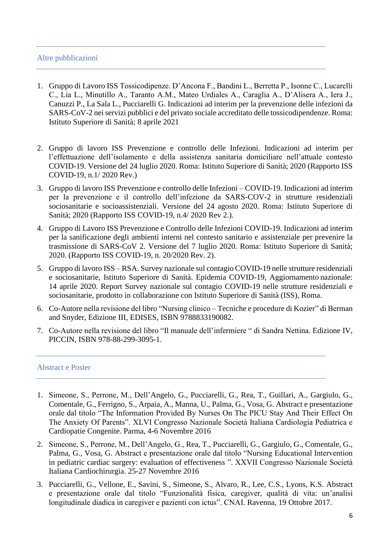# Altre pubblicazioni

- 1. Gruppo di Lavoro ISS Tossicodipenze. D'Ancona F., Bandini L., Berretta P., Isonne C., Lucarelli C., Lia L., Minutillo A., Taranto A.M., Mateo Urdiales A., Caraglia A., D'Alisera A., Iera J., Canuzzi P., La Sala L., Pucciarelli G. Indicazioni ad interim per la prevenzione delle infezioni da SARS-CoV-2 nei servizi pubblici e del privato sociale accreditato delle tossicodipendenze. Roma: Istituto Superiore di Sanità; 8 aprile 2021
- 2. Gruppo di lavoro ISS Prevenzione e controllo delle Infezioni. Indicazioni ad interim per l'effettuazione dell'isolamento e della assistenza sanitaria domiciliare nell'attuale contesto COVID-19. Versione del 24 luglio 2020. Roma: Istituto Superiore di Sanità; 2020 (Rapporto ISS COVID-19, n.1/ 2020 Rev.)
- 3. Gruppo di lavoro ISS Prevenzione e controllo delle Infezioni COVID-19. Indicazioni ad interim per la prevenzione e il controllo dell'infezione da SARS-COV-2 in strutture residenziali sociosanitarie e socioassistenziali. Versione del 24 agosto 2020. Roma: Istituto Superiore di Sanità; 2020 (Rapporto ISS COVID-19, n.4/ 2020 Rev 2.).
- 4. Gruppo di Lavoro ISS Prevenzione e Controllo delle Infezioni COVID-19. Indicazioni ad interim per la sanificazione degli ambienti interni nel contesto sanitario e assistenziale per prevenire la trasmissione di SARS-CoV 2. Versione del 7 luglio 2020. Roma: Istituto Superiore di Sanità; 2020. (Rapporto ISS COVID-19, n. 20/2020 Rev. 2).
- 5. Gruppo di lavoro ISS RSA. Survey nazionale sul contagio COVID-19 nelle strutture residenziali e sociosanitarie, Istituto Superiore di Sanità. Epidemia COVID-19, Aggiornamento nazionale: 14 aprile 2020. Report Survey nazionale sul contagio COVID-19 nelle strutture residenziali e sociosanitarie, prodotto in collaborazione con Istituto Superiore di Sanità (ISS), Roma.
- 6. Co-Autore nella revisione del libro "Nursing clinico Tecniche e procedure di Kozier" di Berman and Snyder, Edizione III, EDISES, ISBN 9788833190082.
- 7. Co-Autore nella revisione del libro "Il manuale dell'infermiere " di Sandra Nettina. Edizione IV, PICCIN, ISBN 978-88-299-3095-1.

## Abstract e Poster

- 1. Simeone, S., Perrone, M., Dell'Angelo, G., Pucciarelli, G., Rea, T., Guillari, A., Gargiulo, G., Comentale, G., Ferrigno, S., Arpaia, A., Manna, U., Palma, G., Vosa, G. Abstract e presentazione orale dal titolo "The Information Provided By Nurses On The PICU Stay And Their Effect On The Anxiety Of Parents". XLVI Congresso Nazionale Società Italiana Cardiologia Pediatrica e Cardiopatie Congenite. Parma, 4-6 Novembre 2016
- 2. Simeone, S., Perrone, M., Dell'Angelo, G., Rea, T., Pucciarelli, G., Gargiulo, G., Comentale, G., Palma, G., Vosa, G. Abstract e presentazione orale dal titolo "Nursing Educational Intervention in pediatric cardiac surgery: evaluation of effectiveness ". XXVII Congresso Nazionale Società Italiana Cardiochirurgia. 25-27 Novembre 2016
- 3. Pucciarelli, G., Vellone, E., Savini, S., Simeone, S., Alvaro, R., Lee, C.S., Lyons, K.S. Abstract e presentazione orale dal titolo "Funzionalità fisica, caregiver, qualità di vita: un'analisi longitudinale diadica in caregiver e pazienti con ictus". CNAI. Ravenna, 19 Ottobre 2017.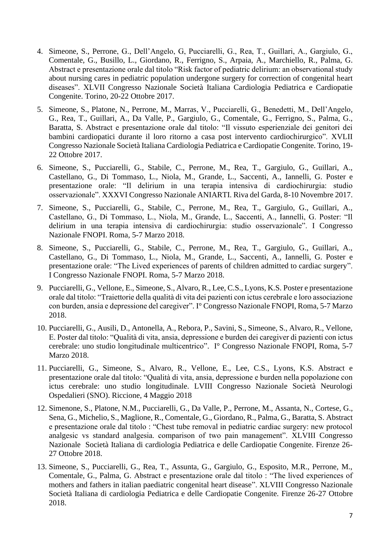- 4. Simeone, S., Perrone, G., Dell'Angelo, G, Pucciarelli, G., Rea, T., Guillari, A., Gargiulo, G., Comentale, G., Busillo, L., Giordano, R., Ferrigno, S., Arpaia, A., Marchiello, R., Palma, G. Abstract e presentazione orale dal titolo "Risk factor of pediatric delirium: an observational study about nursing cares in pediatric population undergone surgery for correction of congenital heart diseases". XLVII Congresso Nazionale Società Italiana Cardiologia Pediatrica e Cardiopatie Congenite. Torino, 20-22 Ottobre 2017.
- 5. Simeone, S., Platone, N., Perrone, M., Marras, V., Pucciarelli, G., Benedetti, M., Dell'Angelo, G., Rea, T., Guillari, A., Da Valle, P., Gargiulo, G., Comentale, G., Ferrigno, S., Palma, G., Baratta, S. Abstract e presentazione orale dal titolo: "Il vissuto esperienziale dei genitori dei bambini cardiopatici durante il loro ritorno a casa post intervento cardiochirurgico". XVLII Congresso Nazionale Società Italiana Cardiologia Pediatrica e Cardiopatie Congenite. Torino, 19- 22 Ottobre 2017.
- 6. Simeone, S., Pucciarelli, G., Stabile, C., Perrone, M., Rea, T., Gargiulo, G., Guillari, A., Castellano, G., Di Tommaso, L., Niola, M., Grande, L., Saccenti, A., Iannelli, G. Poster e presentazione orale: "Il delirium in una terapia intensiva di cardiochirurgia: studio osservazionale". XXXVI Congresso Nazionale ANIARTI. Riva del Garda, 8-10 Novembre 2017.
- 7. Simeone, S., Pucciarelli, G., Stabile, C., Perrone, M., Rea, T., Gargiulo, G., Guillari, A., Castellano, G., Di Tommaso, L., Niola, M., Grande, L., Saccenti, A., Iannelli, G. Poster: "Il delirium in una terapia intensiva di cardiochirurgia: studio osservazionale". I Congresso Nazionale FNOPI. Roma, 5-7 Marzo 2018.
- 8. Simeone, S., Pucciarelli, G., Stabile, C., Perrone, M., Rea, T., Gargiulo, G., Guillari, A., Castellano, G., Di Tommaso, L., Niola, M., Grande, L., Saccenti, A., Iannelli, G. Poster e presentazione orale: "The Lived experiences of parents of children admitted to cardiac surgery". I Congresso Nazionale FNOPI. Roma, 5-7 Marzo 2018.
- 9. Pucciarelli, G., Vellone, E., Simeone, S., Alvaro, R., Lee, C.S., Lyons, K.S. Poster e presentazione orale dal titolo: "Traiettorie della qualità di vita dei pazienti con ictus cerebrale e loro associazione con burden, ansia e depressione del caregiver". I° Congresso Nazionale FNOPI, Roma, 5-7 Marzo 2018.
- 10. Pucciarelli, G., Ausili, D., Antonella, A., Rebora, P., Savini, S., Simeone, S., Alvaro, R., Vellone, E. Poster dal titolo: "Qualità di vita, ansia, depressione e burden dei caregiver di pazienti con ictus cerebrale: uno studio longitudinale multicentrico". I° Congresso Nazionale FNOPI, Roma, 5-7 Marzo 2018.
- 11. Pucciarelli, G., Simeone, S., Alvaro, R., Vellone, E., Lee, C.S., Lyons, K.S. Abstract e presentazione orale dal titolo: "Qualità di vita, ansia, depressione e burden nella popolazione con ictus cerebrale: uno studio longitudinale. LVIII Congresso Nazionale Società Neurologi Ospedalieri (SNO). Riccione, 4 Maggio 2018
- 12. Simenone, S., Platone, N.M., Pucciarelli, G., Da Valle, P., Perrone, M., Assanta, N., Cortese, G., Sena, G., Michelio, S., Maglione, R., Comentale, G., Giordano, R., Palma, G., Baratta, S. Abstract e presentazione orale dal titolo : "Chest tube removal in pediatric cardiac surgery: new protocol analgesic vs standard analgesia. comparison of two pain management". XLVIII Congresso Nazionale Società Italiana di cardiologia Pediatrica e delle Cardiopatie Congenite. Firenze 26- 27 Ottobre 2018.
- 13. Simeone, S., Pucciarelli, G., Rea, T., Assunta, G., Gargiulo, G., Esposito, M.R., Perrone, M., Comentale, G., Palma, G. Abstract e presentazione orale dal titolo : "The lived experiences of mothers and fathers in italian paediatric congenital heart disease". XLVIII Congresso Nazionale Società Italiana di cardiologia Pediatrica e delle Cardiopatie Congenite. Firenze 26-27 Ottobre 2018.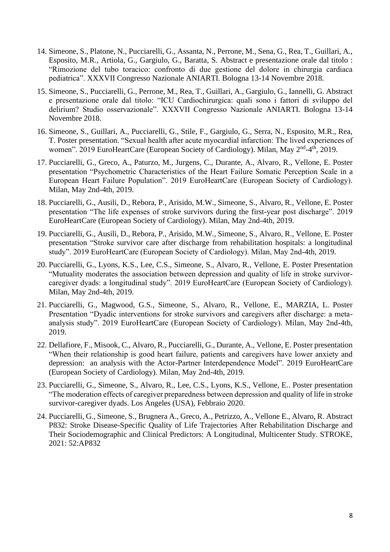- 14. Simeone, S., Platone, N., Pucciarelli, G., Assanta, N., Perrone, M., Sena, G., Rea, T., Guillari, A., Esposito, M.R., Artiola, G., Gargiulo, G., Baratta, S. Abstract e presentazione orale dal titolo : "Rimozione del tubo toracico: confronto di due gestione del dolore in chirurgia cardiaca pediatrica". XXXVII Congresso Nazionale ANIARTI. Bologna 13-14 Novembre 2018.
- 15. Simeone, S., Pucciarelli, G., Perrone, M., Rea, T., Guillari, A., Gargiulo, G., Iannelli, G. Abstract e presentazione orale dal titolo: "ICU Cardiochirurgica: quali sono i fattori di sviluppo del delirium? Studio osservazionale". XXXVII Congresso Nazionale ANIARTI. Bologna 13-14 Novembre 2018.
- 16. Simeone, S., Guillari, A., Pucciarelli, G., Stile, F., Gargiulo, G., Serra, N., Esposito, M.R., Rea, T. Poster presentation. "Sexual health after acute myocardial infarction: The lived experiences of women". 2019 EuroHeartCare (European Society of Cardiology). Milan, May 2<sup>nd</sup>-4<sup>th</sup>, 2019.
- 17. Pucciarelli, G., Greco, A., Paturzo, M., Jurgens, C., Durante, A., Alvaro, R., Vellone, E. Poster presentation "Psychometric Characteristics of the Heart Failure Somatic Perception Scale in a European Heart Failure Population". 2019 EuroHeartCare (European Society of Cardiology). Milan, May 2nd-4th, 2019.
- 18. Pucciarelli, G., Ausili, D., Rebora, P., Arisido, M.W., Simeone, S., Alvaro, R., Vellone, E. Poster presentation "The life expenses of stroke survivors during the first-year post discharge". 2019 EuroHeartCare (European Society of Cardiology). Milan, May 2nd-4th, 2019.
- 19. Pucciarelli, G., Ausili, D., Rebora, P., Arisido, M.W., Simeone, S., Alvaro, R., Vellone, E. Poster presentation "Stroke survivor care after discharge from rehabilitation hospitals: a longitudinal study". 2019 EuroHeartCare (European Society of Cardiology). Milan, May 2nd-4th, 2019.
- 20. Pucciarelli, G., Lyons, K.S., Lee, C.S., Simeone, S., Alvaro, R., Vellone, E. Poster Presentation "Mutuality moderates the association between depression and quality of life in stroke survivorcaregiver dyads: a longitudinal study". 2019 EuroHeartCare (European Society of Cardiology). Milan, May 2nd-4th, 2019.
- 21. Pucciarelli, G., Magwood, G.S., Simeone, S., Alvaro, R., Vellone, E., MARZIA, L. Poster Presentation "Dyadic interventions for stroke survivors and caregivers after discharge: a metaanalysis study". 2019 EuroHeartCare (European Society of Cardiology). Milan, May 2nd-4th, 2019.
- 22. Dellafiore, F., Misook, C., Alvaro, R., Pucciarelli, G., Durante, A., Vellone, E. Poster presentation "When their relationship is good heart failure, patients and caregivers have lower anxiety and depression: an analysis with the Actor-Partner Interdependence Model". 2019 EuroHeartCare (European Society of Cardiology). Milan, May 2nd-4th, 2019.
- 23. Pucciarelli, G., Simeone, S., Alvaro, R., Lee, C.S., Lyons, K.S., Vellone, E.. Poster presentation "The moderation effects of caregiver preparedness between depression and quality of life in stroke survivor-caregiver dyads. Los Angeles (USA), Febbraio 2020.
- 24. Pucciarelli, G., Simeone, S., Brugnera A., Greco, A., Petrizzo, A., Vellone E., Alvaro, R. Abstract P832: Stroke Disease-Specific Quality of Life Trajectories After Rehabilitation Discharge and Their Sociodemographic and Clinical Predictors: A Longitudinal, Multicenter Study. STROKE, 2021: 52:AP832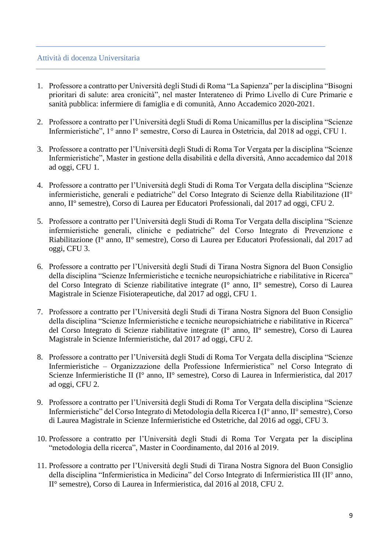## Attività di docenza Universitaria

- 1. Professore a contratto per Università degli Studi di Roma "La Sapienza" per la disciplina "Bisogni prioritari di salute: area cronicità", nel master Interateneo di Primo Livello di Cure Primarie e sanità pubblica: infermiere di famiglia e di comunità, Anno Accademico 2020-2021.
- 2. Professore a contratto per l'Università degli Studi di Roma Unicamillus per la disciplina "Scienze Infermieristiche", 1° anno I° semestre, Corso di Laurea in Ostetricia, dal 2018 ad oggi, CFU 1.
- 3. Professore a contratto per l'Università degli Studi di Roma Tor Vergata per la disciplina "Scienze Infermieristiche", Master in gestione della disabilità e della diversità, Anno accademico dal 2018 ad oggi, CFU 1.
- 4. Professore a contratto per l'Università degli Studi di Roma Tor Vergata della disciplina "Scienze infermieristiche, generali e pediatriche" del Corso Integrato di Scienze della Riabilitazione (II° anno, II° semestre), Corso di Laurea per Educatori Professionali, dal 2017 ad oggi, CFU 2.
- 5. Professore a contratto per l'Università degli Studi di Roma Tor Vergata della disciplina "Scienze infermieristiche generali, cliniche e pediatriche" del Corso Integrato di Prevenzione e Riabilitazione (I° anno, II° semestre), Corso di Laurea per Educatori Professionali, dal 2017 ad oggi, CFU 3.
- 6. Professore a contratto per l'Università degli Studi di Tirana Nostra Signora del Buon Consiglio della disciplina "Scienze Infermieristiche e tecniche neuropsichiatriche e riabilitative in Ricerca" del Corso Integrato di Scienze riabilitative integrate (I° anno, II° semestre), Corso di Laurea Magistrale in Scienze Fisioterapeutiche, dal 2017 ad oggi, CFU 1.
- 7. Professore a contratto per l'Università degli Studi di Tirana Nostra Signora del Buon Consiglio della disciplina "Scienze Infermieristiche e tecniche neuropsichiatriche e riabilitative in Ricerca" del Corso Integrato di Scienze riabilitative integrate (I° anno, II° semestre), Corso di Laurea Magistrale in Scienze Infermieristiche, dal 2017 ad oggi, CFU 2.
- 8. Professore a contratto per l'Università degli Studi di Roma Tor Vergata della disciplina "Scienze Infermieristiche – Organizzazione della Professione Infermieristica" nel Corso Integrato di Scienze Infermieristiche II (I° anno, II° semestre), Corso di Laurea in Infermieristica, dal 2017 ad oggi, CFU 2.
- 9. Professore a contratto per l'Università degli Studi di Roma Tor Vergata della disciplina "Scienze Infermieristiche" del Corso Integrato di Metodologia della Ricerca I (I° anno, II° semestre), Corso di Laurea Magistrale in Scienze Infermieristiche ed Ostetriche, dal 2016 ad oggi, CFU 3.
- 10. Professore a contratto per l'Università degli Studi di Roma Tor Vergata per la disciplina "metodologia della ricerca", Master in Coordinamento, dal 2016 al 2019.
- 11. Professore a contratto per l'Università degli Studi di Tirana Nostra Signora del Buon Consiglio della disciplina "Infermieristica in Medicina" del Corso Integrato di Infermieristica III (II° anno, II° semestre), Corso di Laurea in Infermieristica, dal 2016 al 2018, CFU 2.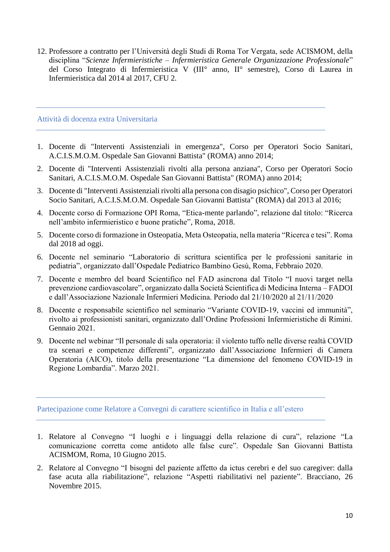12. Professore a contratto per l'Università degli Studi di Roma Tor Vergata, sede ACISMOM, della disciplina "*Scienze Infermieristiche – Infermieristica Generale Organizzazione Professionale*" del Corso Integrato di Infermieristica V (III° anno, II° semestre), Corso di Laurea in Infermieristica dal 2014 al 2017, CFU 2.

#### Attività di docenza extra Universitaria

- 1. Docente di "Interventi Assistenziali in emergenza", Corso per Operatori Socio Sanitari, A.C.I.S.M.O.M. Ospedale San Giovanni Battista" (ROMA) anno 2014;
- 2. Docente di "Interventi Assistenziali rivolti alla persona anziana", Corso per Operatori Socio Sanitari, A.C.I.S.M.O.M. Ospedale San Giovanni Battista" (ROMA) anno 2014;
- 3. Docente di "Interventi Assistenziali rivolti alla persona con disagio psichico", Corso per Operatori Socio Sanitari, A.C.I.S.M.O.M. Ospedale San Giovanni Battista" (ROMA) dal 2013 al 2016;
- 4. Docente corso di Formazione OPI Roma, "Etica-mente parlando", relazione dal titolo: "Ricerca nell'ambito infermieristico e buone pratiche", Roma, 2018.
- 5. Docente corso di formazione in Osteopatia, Meta Osteopatia, nella materia "Ricerca e tesi". Roma dal 2018 ad oggi.
- 6. Docente nel seminario "Laboratorio di scrittura scientifica per le professioni sanitarie in pediatria", organizzato dall'Ospedale Pediatrico Bambino Gesù, Roma, Febbraio 2020.
- 7. Docente e membro del board Scientifico nel FAD asincrona dal Titolo "I nuovi target nella prevenzione cardiovascolare", organizzato dalla Società Scientifica di Medicina Interna – FADOI e dall'Associazione Nazionale Infermieri Medicina. Periodo dal 21/10/2020 al 21/11/2020
- 8. Docente e responsabile scientifico nel seminario "Variante COVID-19, vaccini ed immunità", rivolto ai professionisti sanitari, organizzato dall'Ordine Professioni Infermieristiche di Rimini. Gennaio 2021.
- 9. Docente nel webinar "Il personale di sala operatoria: il violento tuffo nelle diverse realtà COVID tra scenari e competenze differenti", organizzato dall'Associazione Infermieri di Camera Operatoria (AICO), titolo della presentazione "La dimensione del fenomeno COVID-19 in Regione Lombardia". Marzo 2021.

Partecipazione come Relatore a Convegni di carattere scientifico in Italia e all'estero

- 1. Relatore al Convegno "I luoghi e i linguaggi della relazione di cura", relazione "La comunicazione corretta come antidoto alle false cure". Ospedale San Giovanni Battista ACISMOM, Roma, 10 Giugno 2015.
- 2. Relatore al Convegno "I bisogni del paziente affetto da ictus cerebri e del suo caregiver: dalla fase acuta alla riabilitazione", relazione "Aspetti riabilitativi nel paziente". Bracciano, 26 Novembre 2015.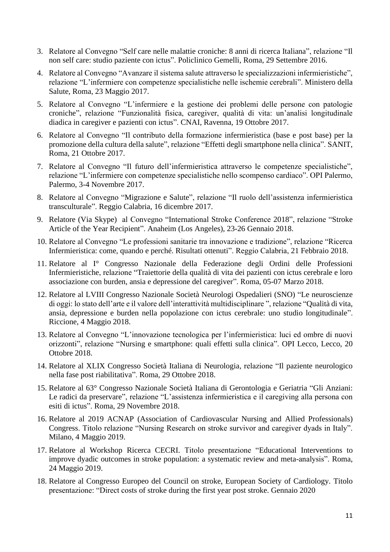- 3. Relatore al Convegno "Self care nelle malattie croniche: 8 anni di ricerca Italiana", relazione "Il non self care: studio paziente con ictus". Policlinico Gemelli, Roma, 29 Settembre 2016.
- 4. Relatore al Convegno "Avanzare il sistema salute attraverso le specializzazioni infermieristiche", relazione "L'infermiere con competenze specialistiche nelle ischemie cerebrali". Ministero della Salute, Roma, 23 Maggio 2017.
- 5. Relatore al Convegno "L'infermiere e la gestione dei problemi delle persone con patologie croniche", relazione "Funzionalità fisica, caregiver, qualità di vita: un'analisi longitudinale diadica in caregiver e pazienti con ictus". CNAI, Ravenna, 19 Ottobre 2017.
- 6. Relatore al Convegno "Il contributo della formazione infermieristica (base e post base) per la promozione della cultura della salute", relazione "Effetti degli smartphone nella clinica". SANIT, Roma, 21 Ottobre 2017.
- 7. Relatore al Convegno "Il futuro dell'infermieristica attraverso le competenze specialistiche", relazione "L'infermiere con competenze specialistiche nello scompenso cardiaco". OPI Palermo, Palermo, 3-4 Novembre 2017.
- 8. Relatore al Convegno "Migrazione e Salute", relazione "Il ruolo dell'assistenza infermieristica transculturale". Reggio Calabria, 16 dicembre 2017.
- 9. Relatore (Via Skype) al Convegno "International Stroke Conference 2018", relazione "Stroke Article of the Year Recipient". Anaheim (Los Angeles), 23-26 Gennaio 2018.
- 10. Relatore al Convegno "Le professioni sanitarie tra innovazione e tradizione", relazione "Ricerca Infermieristica: come, quando e perché. Risultati ottenuti". Reggio Calabria, 21 Febbraio 2018.
- 11. Relatore al I° Congresso Nazionale della Federazione degli Ordini delle Professioni Infermieristiche, relazione "Traiettorie della qualità di vita dei pazienti con ictus cerebrale e loro associazione con burden, ansia e depressione del caregiver". Roma, 05-07 Marzo 2018.
- 12. Relatore al LVIII Congresso Nazionale Società Neurologi Ospedalieri (SNO) "Le neuroscienze di oggi: lo stato dell'arte e il valore dell'interattività multidisciplinare ", relazione "Qualità di vita, ansia, depressione e burden nella popolazione con ictus cerebrale: uno studio longitudinale". Riccione, 4 Maggio 2018.
- 13. Relatore al Convegno "L'innovazione tecnologica per l'infermieristica: luci ed ombre di nuovi orizzonti", relazione "Nursing e smartphone: quali effetti sulla clinica". OPI Lecco, Lecco, 20 Ottobre 2018.
- 14. Relatore al XLIX Congresso Società Italiana di Neurologia, relazione "Il paziente neurologico nella fase post riabilitativa". Roma, 29 Ottobre 2018.
- 15. Relatore al 63° Congresso Nazionale Società Italiana di Gerontologia e Geriatria "Gli Anziani: Le radici da preservare", relazione "L'assistenza infermieristica e il caregiving alla persona con esiti di ictus". Roma, 29 Novembre 2018.
- 16. Relatore al 2019 ACNAP (Association of Cardiovascular Nursing and Allied Professionals) Congress. Titolo relazione "Nursing Research on stroke survivor and caregiver dyads in Italy". Milano, 4 Maggio 2019.
- 17. Relatore al Workshop Ricerca CECRI. Titolo presentazione "Educational Interventions to improve dyadic outcomes in stroke population: a systematic review and meta-analysis". Roma, 24 Maggio 2019.
- 18. Relatore al Congresso Europeo del Council on stroke, European Society of Cardiology. Titolo presentazione: "Direct costs of stroke during the first year post stroke. Gennaio 2020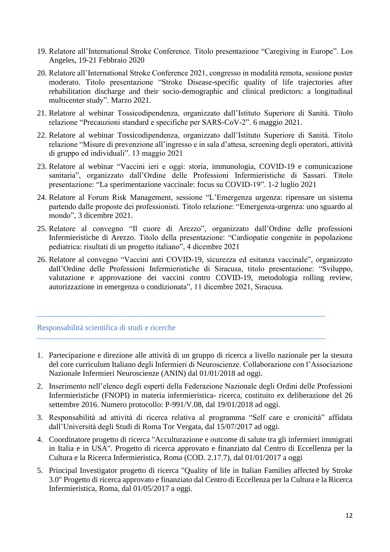- 19. Relatore all'International Stroke Conference. Titolo presentazione "Caregiving in Europe". Los Angeles, 19-21 Febbraio 2020
- 20. Relatore all'International Stroke Conference 2021, congresso in modalità remota, sessione poster moderato. Titolo presentazione "Stroke Disease-specific quality of life trajectories after rehabilitation discharge and their socio-demographic and clinical predictors: a longitudinal multicenter study". Marzo 2021.
- 21. Relatore al webinar Tossicodipendenza, organizzato dall'Istituto Superiore di Sanità. Titolo relazione "Precauzioni standard e specifiche per SARS-CoV-2". 6 maggio 2021.
- 22. Relatore al webinar Tossicodipendenza, organizzato dall'Istituto Superiore di Sanità. Titolo relazione "Misure di prevenzione all'ingresso e in sala d'attesa, screening degli operatori, attività di gruppo ed individuali". 13 maggio 2021
- 23. Relatore al webinar "Vaccini ieri e oggi: storia, immunologia, COVID-19 e comunicazione sanitaria", organizzato dall'Ordine delle Professioni Infermieristiche di Sassari. Titolo presentazione: "La sperimentazione vaccinale: focus su COVID-19". 1-2 luglio 2021
- 24. Relatore al Forum Risk Management, sessione "L'Emergenza urgenza: ripensare un sistema partendo dalle proposte dei professionisti. Titolo relazione: "Emergenza-urgenza: uno sguardo al mondo", 3 dicembre 2021.
- 25. Relatore al convegno "Il cuore di Arezzo", organizzato dall'Ordine delle professioni Infermieristiche di Arezzo. Titolo della presentazione: "Cardiopatie congenite in popolazione pediatrica: risultati di un progetto italiano", 4 dicembre 2021
- 26. Relatore al convegno "Vaccini anti COVID-19, sicurezza ed esitanza vaccinale", organizzato dall'Ordine delle Professioni Infermieristiche di Siracusa, titolo presentazione: "Sviluppo, valutazione e approvazione dei vaccini contro COVID-19, metodologia rolling review, autorizzazione in emergenza o condizionata", 11 dicembre 2021, Siracusa.

# Responsabilità scientifica di studi e ricerche

- 1. Partecipazione e direzione alle attività di un gruppo di ricerca a livello nazionale per la stesura del core curriculum Italiano degli Infermieri di Neuroscienze. Collaborazione con l'Associazione Nazionale Infermieri Neuroscienze (ANIN) dal 01/01/2018 ad oggi.
- 2. Inserimento nell'elenco degli esperti della Federazione Nazionale degli Ordini delle Professioni Infermieristiche (FNOPI) in materia infermieristica- ricerca, costituito ex deliberazione del 26 settembre 2016. Numero protocollo: P-991/V.08, dal 19/01/2018 ad oggi.
- 3. Responsabilità ad attività di ricerca relativa al programma "Self care e cronicità" affidata dall'Università degli Studi di Roma Tor Vergata, dal 15/07/2017 ad oggi.
- 4. Coordinatore progetto di ricerca "Acculturazione e outcome di salute tra gli infermieri immigrati in Italia e in USA". Progetto di ricerca approvato e finanziato dal Centro di Eccellenza per la Cultura e la Ricerca Infermieristica, Roma (COD. 2.17.7), dal 01/01/2017 a oggi
- 5. Principal Investigator progetto di ricerca "Quality of life in Italian Families affected by Stroke 3.0" Progetto di ricerca approvato e finanziato dal Centro di Eccellenza per la Cultura e la Ricerca Infermieristica, Roma, dal 01/05/2017 a oggi.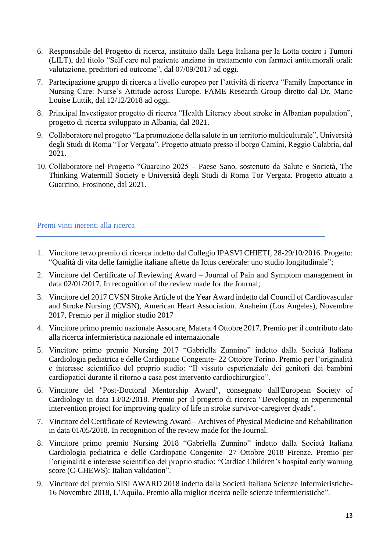- 6. Responsabile del Progetto di ricerca, instituito dalla Lega Italiana per la Lotta contro i Tumori (LILT), dal titolo "Self care nel paziente anziano in trattamento con farmaci antitumorali orali: valutazione, predittori ed outcome", dal 07/09/2017 ad oggi.
- 7. Partecipazione gruppo di ricerca a livello europeo per l'attività di ricerca "Family Importance in Nursing Care: Nurse's Attitude across Europe. FAME Research Group diretto dal Dr. Marie Louise Luttik, dal 12/12/2018 ad oggi.
- 8. Principal Investigator progetto di ricerca "Health Literacy about stroke in Albanian population", progetto di ricerca sviluppato in Albania, dal 2021.
- 9. Collaboratore nel progetto "La promozione della salute in un territorio multiculturale", Università degli Studi di Roma "Tor Vergata". Progetto attuato presso il borgo Camini, Reggio Calabria, dal 2021.
- 10. Collaboratore nel Progetto "Guarcino 2025 Paese Sano, sostenuto da Salute e Società, The Thinking Watermill Society e Università degli Studi di Roma Tor Vergata. Progetto attuato a Guarcino, Frosinone, dal 2021.

# Premi vinti inerenti alla ricerca

- 1. Vincitore terzo premio di ricerca indetto dal Collegio IPASVI CHIETI, 28-29/10/2016. Progetto: "Qualità di vita delle famiglie italiane affette da Ictus cerebrale: uno studio longitudinale";
- 2. Vincitore del Certificate of Reviewing Award Journal of Pain and Symptom management in data 02/01/2017. In recognition of the review made for the Journal;
- 3. Vincitore del 2017 CVSN Stroke Article of the Year Award indetto dal Council of Cardiovascular and Stroke Nursing (CVSN), American Heart Association. Anaheim (Los Angeles), Novembre 2017, Premio per il miglior studio 2017
- 4. Vincitore primo premio nazionale Assocare, Matera 4 Ottobre 2017. Premio per il contributo dato alla ricerca infermieristica nazionale ed internazionale
- 5. Vincitore primo premio Nursing 2017 "Gabriella Zunnino" indetto dalla Società Italiana Cardiologia pediatrica e delle Cardiopatie Congenite- 22 Ottobre Torino. Premio per l'originalità e interesse scientifico del proprio studio: "Il vissuto esperienziale dei genitori dei bambini cardiopatici durante il ritorno a casa post intervento cardiochirurgico".
- 6. Vincitore del "Post-Doctoral Mentorship Award", consegnato dall'European Society of Cardiology in data 13/02/2018. Premio per il progetto di ricerca "Developing an experimental intervention project for improving quality of life in stroke survivor-caregiver dyads".
- 7. Vincitore del Certificate of Reviewing Award Archives of Physical Medicine and Rehabilitation in data 01/05/2018. In recognition of the review made for the Journal.
- 8. Vincitore primo premio Nursing 2018 "Gabriella Zunnino" indetto dalla Società Italiana Cardiologia pediatrica e delle Cardiopatie Congenite- 27 Ottobre 2018 Firenze. Premio per l'originalità e interesse scientifico del proprio studio: "Cardiac Children's hospital early warning score (C-CHEWS): Italian validation".
- 9. Vincitore del premio SISI AWARD 2018 indetto dalla Società Italiana Scienze Infermieristiche-16 Novembre 2018, L'Aquila. Premio alla miglior ricerca nelle scienze infermieristiche".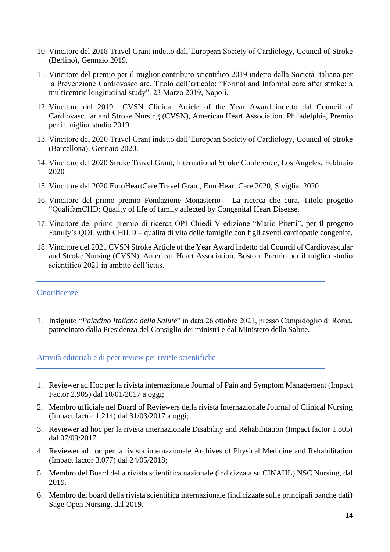- 10. Vincitore del 2018 Travel Grant indetto dall'European Society of Cardiology, Council of Stroke (Berlino), Gennaio 2019.
- 11. Vincitore del premio per il miglior contributo scientifico 2019 indetto dalla Società Italiana per la Prevenzione Cardiovascolare. Titolo dell'articolo: "Formal and Informal care after stroke: a multicentric longitudinal study". 23 Marzo 2019, Napoli.
- 12. Vincitore del 2019 CVSN Clinical Article of the Year Award indetto dal Council of Cardiovascular and Stroke Nursing (CVSN), American Heart Association. Philadelphia, Premio per il miglior studio 2019.
- 13. Vincitore del 2020 Travel Grant indetto dall'European Society of Cardiology, Council of Stroke (Barcellona), Gennaio 2020.
- 14. Vincitore del 2020 Stroke Travel Grant, International Stroke Conference, Los Angeles, Febbraio 2020
- 15. Vincitore del 2020 EuroHeartCare Travel Grant, EuroHeart Care 2020, Siviglia. 2020
- 16. Vincitore del primo premio Fondazione Monasterio La ricerca che cura. Titolo progetto "QualifamCHD: Quality of life of family affected by Congenital Heart Disease.
- 17. Vincitore del primo premio di ricerca OPI Chiedi V edizione "Mario Pitetti", per il progetto Family's QOL with CHILD – qualità di vita delle famiglie con figli aventi cardiopatie congenite.
- 18. Vincitore del 2021 CVSN Stroke Article of the Year Award indetto dal Council of Cardiovascular and Stroke Nursing (CVSN), American Heart Association. Boston. Premio per il miglior studio scientifico 2021 in ambito dell'ictus.

# **Onorificenze**

1. Insignito "*Paladino Italiano della Salute*" in data 26 ottobre 2021, presso Campidoglio di Roma, patrocinato dalla Presidenza del Consiglio dei ministri e dal Ministero della Salute.

## Attività editoriali e di peer review per riviste scientifiche

- 1. Reviewer ad Hoc per la rivista internazionale Journal of Pain and Symptom Management (Impact Factor 2.905) dal 10/01/2017 a oggi;
- 2. Membro ufficiale nel Board of Reviewers della rivista Internazionale Journal of Clinical Nursing (Impact factor 1.214) dal 31/03/2017 a oggi;
- 3. Reviewer ad hoc per la rivista internazionale Disability and Rehabilitation (Impact factor 1.805) dal 07/09/2017
- 4. Reviewer ad hoc per la rivista internazionale Archives of Physical Medicine and Rehabilitation (Impact factor 3.077) dal 24/05/2018;
- 5. Membro del Board della rivista scientifica nazionale (indicizzata su CINAHL) NSC Nursing, dal 2019.
- 6. Membro del board della rivista scientifica internazionale (indicizzate sulle principali banche dati) Sage Open Nursing, dal 2019.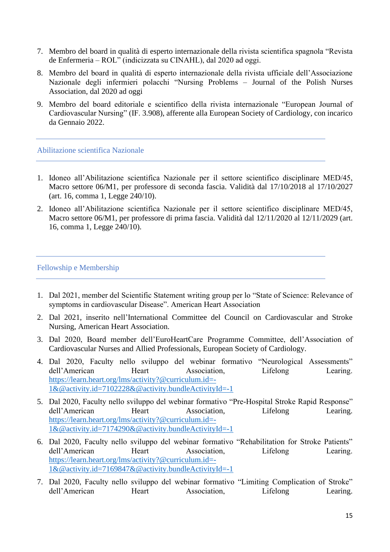- 7. Membro del board in qualità di esperto internazionale della rivista scientifica spagnola "Revista de Enfermeria – ROL" (indicizzata su CINAHL), dal 2020 ad oggi.
- 8. Membro del board in qualità di esperto internazionale della rivista ufficiale dell'Associazione Nazionale degli infermieri polacchi "Nursing Problems – Journal of the Polish Nurses Association, dal 2020 ad oggi
- 9. Membro del board editoriale e scientifico della rivista internazionale "European Journal of Cardiovascular Nursing" (IF. 3.908), afferente alla European Society of Cardiology, con incarico da Gennaio 2022.

Abilitazione scientifica Nazionale

- 1. Idoneo all'Abilitazione scientifica Nazionale per il settore scientifico disciplinare MED/45, Macro settore 06/M1, per professore di seconda fascia. Validità dal 17/10/2018 al 17/10/2027 (art. 16, comma 1, Legge 240/10).
- 2. Idoneo all'Abilitazione scientifica Nazionale per il settore scientifico disciplinare MED/45, Macro settore 06/M1, per professore di prima fascia. Validità dal 12/11/2020 al 12/11/2029 (art. 16, comma 1, Legge 240/10).

# Fellowship e Membership

- 1. Dal 2021, member del Scientific Statement writing group per lo "State of Science: Relevance of symptoms in cardiovascular Disease". American Heart Association
- 2. Dal 2021, inserito nell'International Committee del Council on Cardiovascular and Stroke Nursing, American Heart Association.
- 3. Dal 2020, Board member dell'EuroHeartCare Programme Committee, dell'Association of Cardiovascular Nurses and Allied Professionals, European Society of Cardiology.
- 4. Dal 2020, Faculty nello sviluppo del webinar formativo "Neurological Assessments" dell'American Heart Association, Lifelong Learing. [https://learn.heart.org/lms/activity?@curriculum.id=-](https://learn.heart.org/lms/activity?@curriculum.id=-1&@activity.id=7102228&@activity.bundleActivityId=-1) [1&@activity.id=7102228&@activity.bundleActivityId=-1](https://learn.heart.org/lms/activity?@curriculum.id=-1&@activity.id=7102228&@activity.bundleActivityId=-1)
- 5. Dal 2020, Faculty nello sviluppo del webinar formativo "Pre-Hospital Stroke Rapid Response" dell'American Heart Association, Lifelong Learing. [https://learn.heart.org/lms/activity?@curriculum.id=-](https://learn.heart.org/lms/activity?@curriculum.id=-1&@activity.id=7174290&@activity.bundleActivityId=-1) [1&@activity.id=7174290&@activity.bundleActivityId=-1](https://learn.heart.org/lms/activity?@curriculum.id=-1&@activity.id=7174290&@activity.bundleActivityId=-1)
- 6. Dal 2020, Faculty nello sviluppo del webinar formativo "Rehabilitation for Stroke Patients" dell'American Heart Association, Lifelong Learing. [https://learn.heart.org/lms/activity?@curriculum.id=-](https://learn.heart.org/lms/activity?@curriculum.id=-1&@activity.id=7169847&@activity.bundleActivityId=-1) [1&@activity.id=7169847&@activity.bundleActivityId=-1](https://learn.heart.org/lms/activity?@curriculum.id=-1&@activity.id=7169847&@activity.bundleActivityId=-1)
- 7. Dal 2020, Faculty nello sviluppo del webinar formativo "Limiting Complication of Stroke" dell'American Heart Association, Lifelong Learing.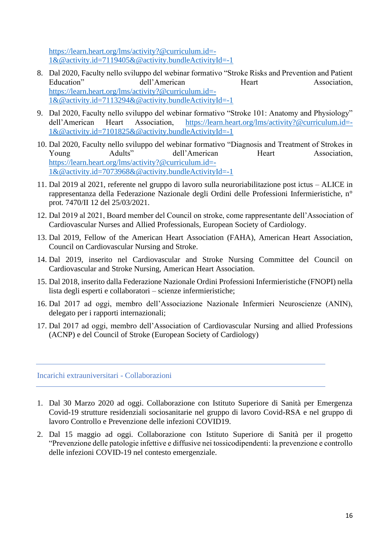[https://learn.heart.org/lms/activity?@curriculum.id=-](https://learn.heart.org/lms/activity?@curriculum.id=-1&@activity.id=7119405&@activity.bundleActivityId=-1) [1&@activity.id=7119405&@activity.bundleActivityId=-1](https://learn.heart.org/lms/activity?@curriculum.id=-1&@activity.id=7119405&@activity.bundleActivityId=-1)

- 8. Dal 2020, Faculty nello sviluppo del webinar formativo "Stroke Risks and Prevention and Patient Education" dell'American Heart Association, [https://learn.heart.org/lms/activity?@curriculum.id=-](https://learn.heart.org/lms/activity?@curriculum.id=-1&@activity.id=7113294&@activity.bundleActivityId=-1) [1&@activity.id=7113294&@activity.bundleActivityId=-1](https://learn.heart.org/lms/activity?@curriculum.id=-1&@activity.id=7113294&@activity.bundleActivityId=-1)
- 9. Dal 2020, Faculty nello sviluppo del webinar formativo "Stroke 101: Anatomy and Physiology" dell'American Heart Association, [https://learn.heart.org/lms/activity?@curriculum.id=-](https://learn.heart.org/lms/activity?@curriculum.id=-1&@activity.id=7101825&@activity.bundleActivityId=-1) [1&@activity.id=7101825&@activity.bundleActivityId=-1](https://learn.heart.org/lms/activity?@curriculum.id=-1&@activity.id=7101825&@activity.bundleActivityId=-1)
- 10. Dal 2020, Faculty nello sviluppo del webinar formativo "Diagnosis and Treatment of Strokes in Young Adults" dell'American Heart Association, [https://learn.heart.org/lms/activity?@curriculum.id=-](https://learn.heart.org/lms/activity?@curriculum.id=-1&@activity.id=7073968&@activity.bundleActivityId=-1) [1&@activity.id=7073968&@activity.bundleActivityId=-1](https://learn.heart.org/lms/activity?@curriculum.id=-1&@activity.id=7073968&@activity.bundleActivityId=-1)
- 11. Dal 2019 al 2021, referente nel gruppo di lavoro sulla neuroriabilitazione post ictus ALICE in rappresentanza della Federazione Nazionale degli Ordini delle Professioni Infermieristiche, n° prot. 7470/II 12 del 25/03/2021.
- 12. Dal 2019 al 2021, Board member del Council on stroke, come rappresentante dell'Association of Cardiovascular Nurses and Allied Professionals, European Society of Cardiology.
- 13. Dal 2019, Fellow of the American Heart Association (FAHA), American Heart Association, Council on Cardiovascular Nursing and Stroke.
- 14. Dal 2019, inserito nel Cardiovascular and Stroke Nursing Committee del Council on Cardiovascular and Stroke Nursing, American Heart Association.
- 15. Dal 2018, inserito dalla Federazione Nazionale Ordini Professioni Infermieristiche (FNOPI) nella lista degli esperti e collaboratori – scienze infermieristiche;
- 16. Dal 2017 ad oggi, membro dell'Associazione Nazionale Infermieri Neuroscienze (ANIN), delegato per i rapporti internazionali;
- 17. Dal 2017 ad oggi, membro dell'Association of Cardiovascular Nursing and allied Professions (ACNP) e del Council of Stroke (European Society of Cardiology)

Incarichi extrauniversitari - Collaborazioni

- 1. Dal 30 Marzo 2020 ad oggi. Collaborazione con Istituto Superiore di Sanità per Emergenza Covid-19 strutture residenziali sociosanitarie nel gruppo di lavoro Covid-RSA e nel gruppo di lavoro Controllo e Prevenzione delle infezioni COVID19.
- 2. Dal 15 maggio ad oggi. Collaborazione con Istituto Superiore di Sanità per il progetto "Prevenzione delle patologie infettive e diffusive nei tossicodipendenti: la prevenzione e controllo delle infezioni COVID-19 nel contesto emergenziale.